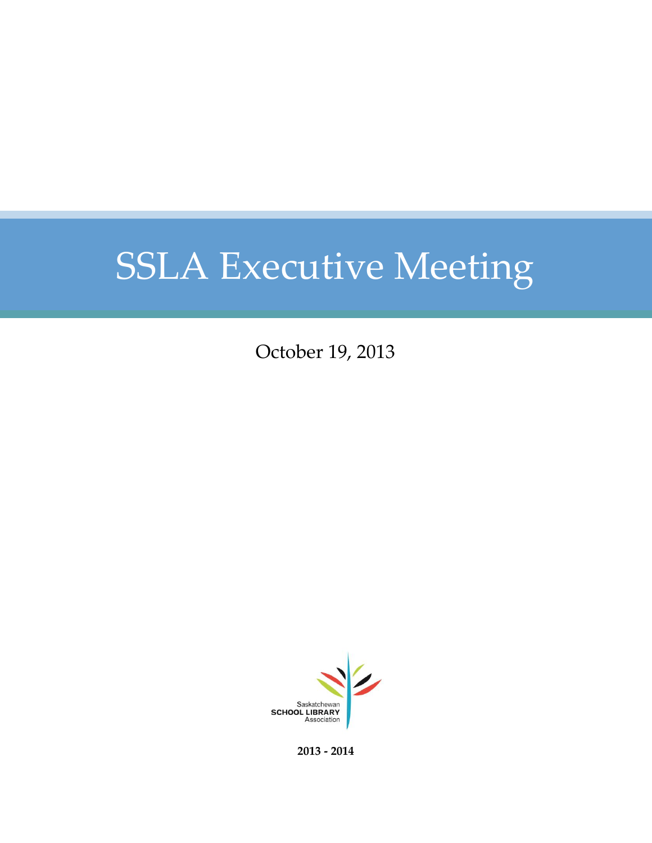October 19, 2013



**2013 - 2014**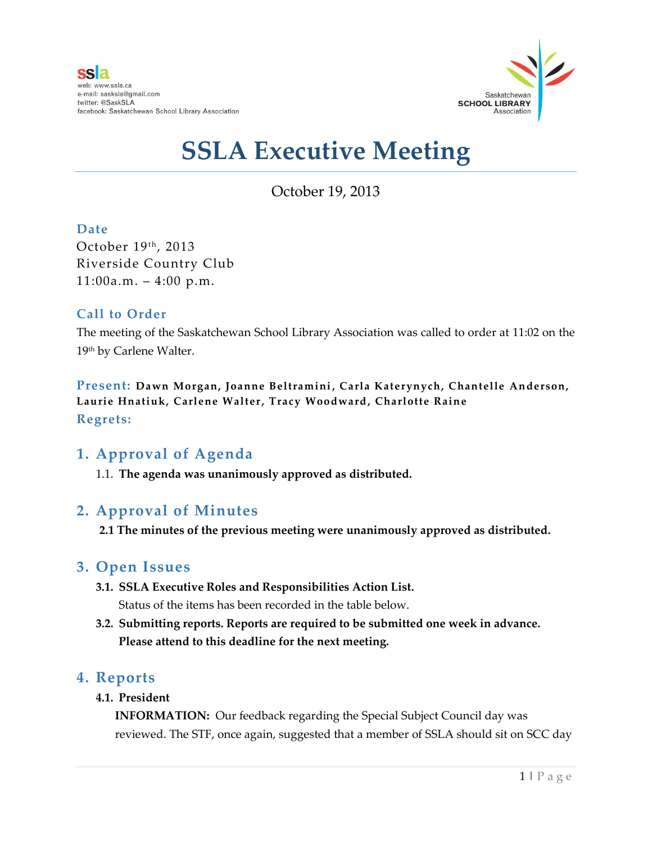

October 19, 2013

### **Date**

October 19th, 2013 Riverside Country Club  $11:00a.m. - 4:00 p.m.$ 

### **Call to Order**

The meeting of the Saskatchewan School Library Association was called to order at 11:02 on the 19th by Carlene Walter.

**Present: Dawn Morgan, Joanne Beltramini, Carla Katerynych, Chantelle Anderson, Laurie Hnatiuk, Carlene Walter, Tracy Woodward, Charlotte Raine Regrets:**

## **1. Approval of Agenda**

1.1. **The agenda was unanimously approved as distributed.**

## **2. Approval of Minutes**

**2.1 The minutes of the previous meeting were unanimously approved as distributed.**

## **3. Open Issues**

- **3.1. SSLA Executive Roles and Responsibilities Action List.** Status of the items has been recorded in the table below.
- **3.2. Submitting reports. Reports are required to be submitted one week in advance. Please attend to this deadline for the next meeting.**

### **4. Reports**

**4.1. President**

**INFORMATION:** Our feedback regarding the Special Subject Council day was reviewed. The STF, once again, suggested that a member of SSLA should sit on SCC day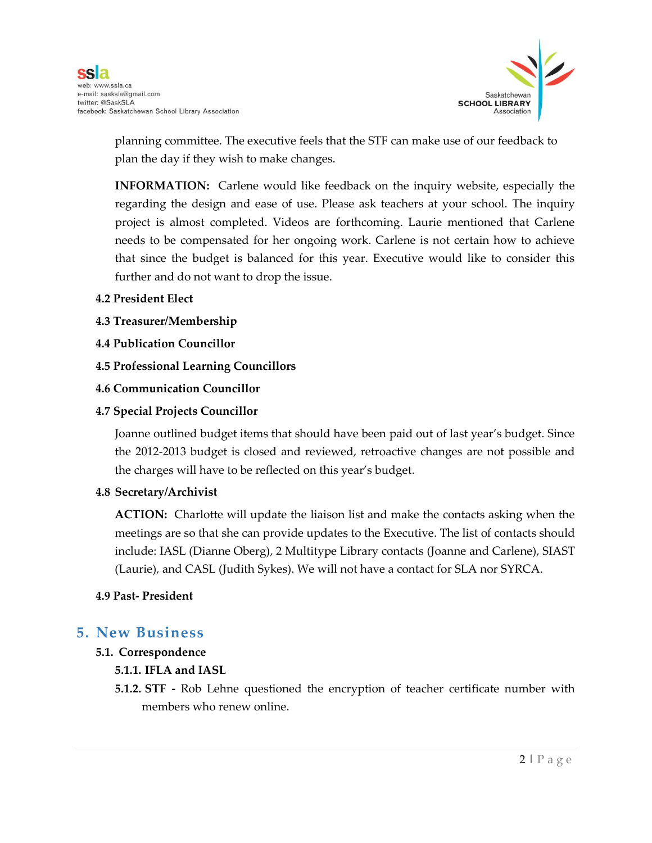

planning committee. The executive feels that the STF can make use of our feedback to plan the day if they wish to make changes.

**INFORMATION:** Carlene would like feedback on the inquiry website, especially the regarding the design and ease of use. Please ask teachers at your school. The inquiry project is almost completed. Videos are forthcoming. Laurie mentioned that Carlene needs to be compensated for her ongoing work. Carlene is not certain how to achieve that since the budget is balanced for this year. Executive would like to consider this further and do not want to drop the issue.

- **4.2 President Elect**
- **4.3 Treasurer/Membership**
- **4.4 Publication Councillor**
- **4.5 Professional Learning Councillors**
- **4.6 Communication Councillor**
- **4.7 Special Projects Councillor**

Joanne outlined budget items that should have been paid out of last year's budget. Since the 2012-2013 budget is closed and reviewed, retroactive changes are not possible and the charges will have to be reflected on this year's budget.

#### **4.8 Secretary/Archivist**

**ACTION:** Charlotte will update the liaison list and make the contacts asking when the meetings are so that she can provide updates to the Executive. The list of contacts should include: IASL (Dianne Oberg), 2 Multitype Library contacts (Joanne and Carlene), SIAST (Laurie), and CASL (Judith Sykes). We will not have a contact for SLA nor SYRCA.

#### **4.9 Past- President**

### **5. New Business**

#### **5.1. Correspondence**

#### **5.1.1. IFLA and IASL**

**5.1.2. STF -** Rob Lehne questioned the encryption of teacher certificate number with members who renew online.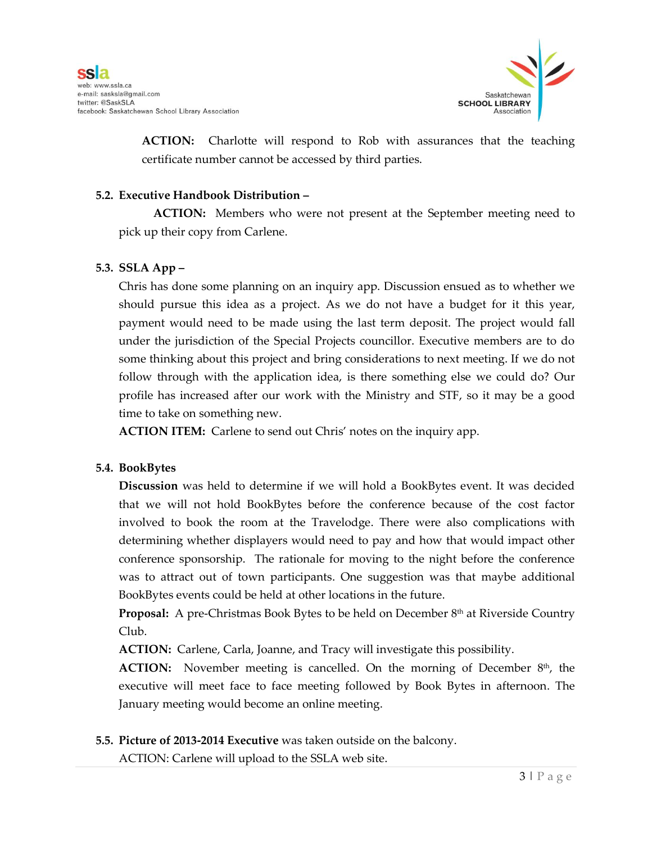

**ACTION:** Charlotte will respond to Rob with assurances that the teaching certificate number cannot be accessed by third parties.

#### **5.2. Executive Handbook Distribution –**

**ACTION:** Members who were not present at the September meeting need to pick up their copy from Carlene.

#### **5.3. SSLA App –**

Chris has done some planning on an inquiry app. Discussion ensued as to whether we should pursue this idea as a project. As we do not have a budget for it this year, payment would need to be made using the last term deposit. The project would fall under the jurisdiction of the Special Projects councillor. Executive members are to do some thinking about this project and bring considerations to next meeting. If we do not follow through with the application idea, is there something else we could do? Our profile has increased after our work with the Ministry and STF, so it may be a good time to take on something new.

**ACTION ITEM:** Carlene to send out Chris' notes on the inquiry app.

#### **5.4. BookBytes**

**Discussion** was held to determine if we will hold a BookBytes event. It was decided that we will not hold BookBytes before the conference because of the cost factor involved to book the room at the Travelodge. There were also complications with determining whether displayers would need to pay and how that would impact other conference sponsorship. The rationale for moving to the night before the conference was to attract out of town participants. One suggestion was that maybe additional BookBytes events could be held at other locations in the future.

**Proposal:** A pre-Christmas Book Bytes to be held on December 8<sup>th</sup> at Riverside Country Club.

**ACTION:** Carlene, Carla, Joanne, and Tracy will investigate this possibility.

**ACTION:** November meeting is cancelled. On the morning of December 8<sup>th</sup>, the executive will meet face to face meeting followed by Book Bytes in afternoon. The January meeting would become an online meeting.

#### **5.5. Picture of 2013-2014 Executive** was taken outside on the balcony.

ACTION: Carlene will upload to the SSLA web site.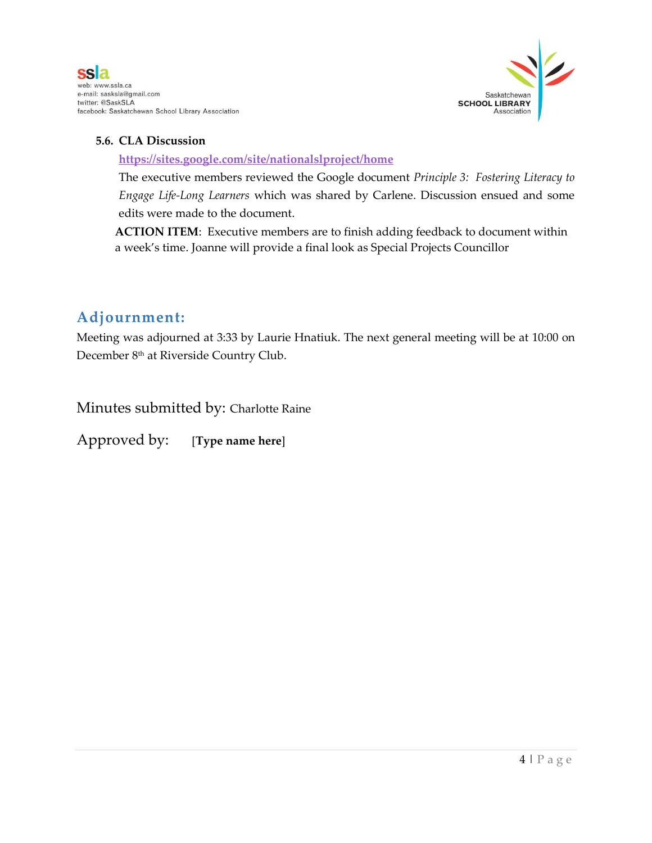

#### **5.6. CLA Discussion**

**<https://sites.google.com/site/nationalslproject/home>**

The executive members reviewed the Google document *Principle 3: Fostering Literacy to Engage Life-Long Learners* which was shared by Carlene. Discussion ensued and some edits were made to the document.

**ACTION ITEM**: Executive members are to finish adding feedback to document within a week's time. Joanne will provide a final look as Special Projects Councillor

## **Adjournment:**

Meeting was adjourned at 3:33 by Laurie Hnatiuk. The next general meeting will be at 10:00 on December 8th at Riverside Country Club.

Minutes submitted by: Charlotte Raine

Approved by: [**Type name here**]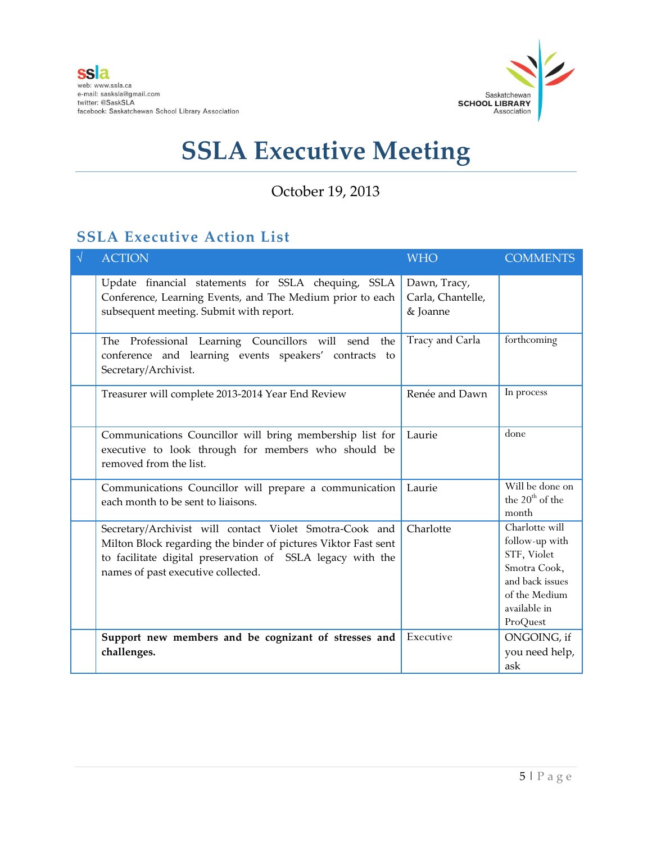

## October 19, 2013

## **SSLA Executive Action List**

| $\sqrt{ }$ | <b>ACTION</b>                                                                                                                                                                                                                 | <b>WHO</b>                                    | <b>COMMENTS</b>                                                                                                                 |
|------------|-------------------------------------------------------------------------------------------------------------------------------------------------------------------------------------------------------------------------------|-----------------------------------------------|---------------------------------------------------------------------------------------------------------------------------------|
|            | Update financial statements for SSLA chequing, SSLA<br>Conference, Learning Events, and The Medium prior to each<br>subsequent meeting. Submit with report.                                                                   | Dawn, Tracy,<br>Carla, Chantelle,<br>& Joanne |                                                                                                                                 |
|            | The Professional Learning Councillors will send<br>the<br>conference and learning events speakers' contracts to<br>Secretary/Archivist.                                                                                       | Tracy and Carla                               | forthcoming                                                                                                                     |
|            | Treasurer will complete 2013-2014 Year End Review                                                                                                                                                                             | Renée and Dawn                                | In process                                                                                                                      |
|            | Communications Councillor will bring membership list for<br>executive to look through for members who should be<br>removed from the list.                                                                                     | Laurie                                        | done                                                                                                                            |
|            | Communications Councillor will prepare a communication<br>each month to be sent to liaisons.                                                                                                                                  | Laurie                                        | Will be done on<br>the $20th$ of the<br>month                                                                                   |
|            | Secretary/Archivist will contact Violet Smotra-Cook and<br>Milton Block regarding the binder of pictures Viktor Fast sent<br>to facilitate digital preservation of SSLA legacy with the<br>names of past executive collected. | Charlotte                                     | Charlotte will<br>follow-up with<br>STF, Violet<br>Smotra Cook,<br>and back issues<br>of the Medium<br>available in<br>ProQuest |
|            | Support new members and be cognizant of stresses and<br>challenges.                                                                                                                                                           | Executive                                     | ONGOING, if<br>you need help,<br>ask                                                                                            |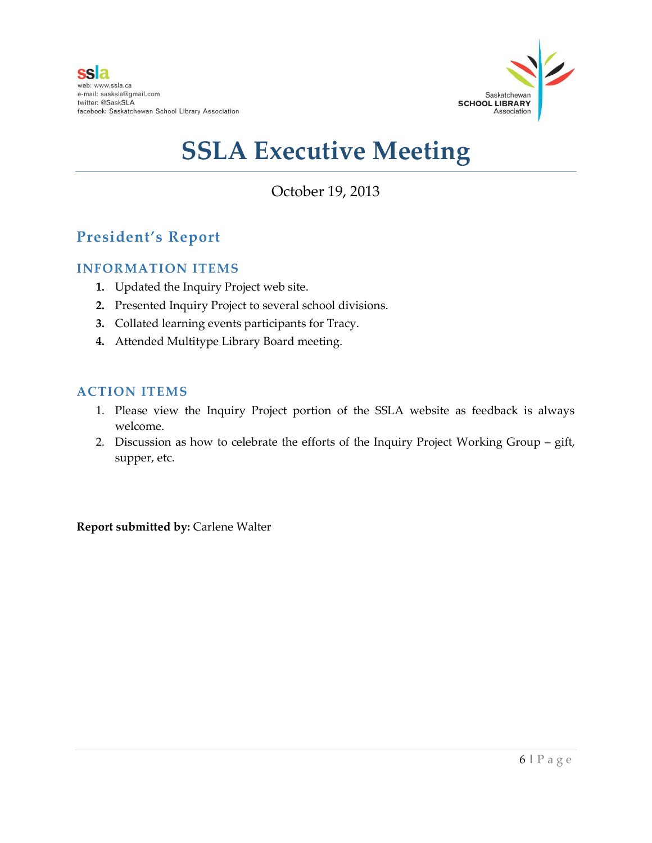

October 19, 2013

## **President's Report**

#### **INFORMATION ITEMS**

- **1.** Updated the Inquiry Project web site.
- **2.** Presented Inquiry Project to several school divisions.
- **3.** Collated learning events participants for Tracy.
- **4.** Attended Multitype Library Board meeting.

### **ACTION ITEMS**

- 1. Please view the Inquiry Project portion of the SSLA website as feedback is always welcome.
- 2. Discussion as how to celebrate the efforts of the Inquiry Project Working Group gift, supper, etc.

**Report submitted by:** Carlene Walter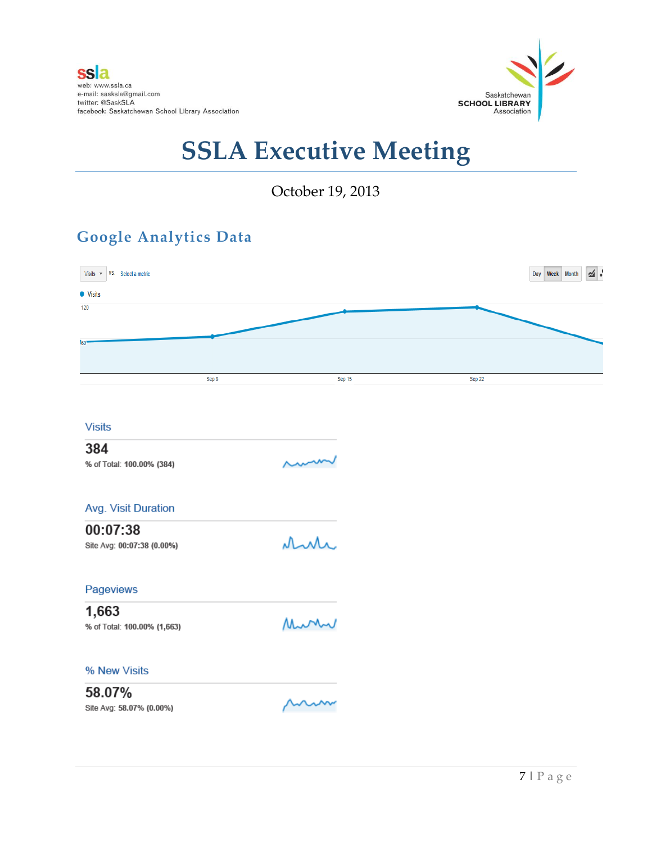

October 19, 2013

## **Google Analytics Data**

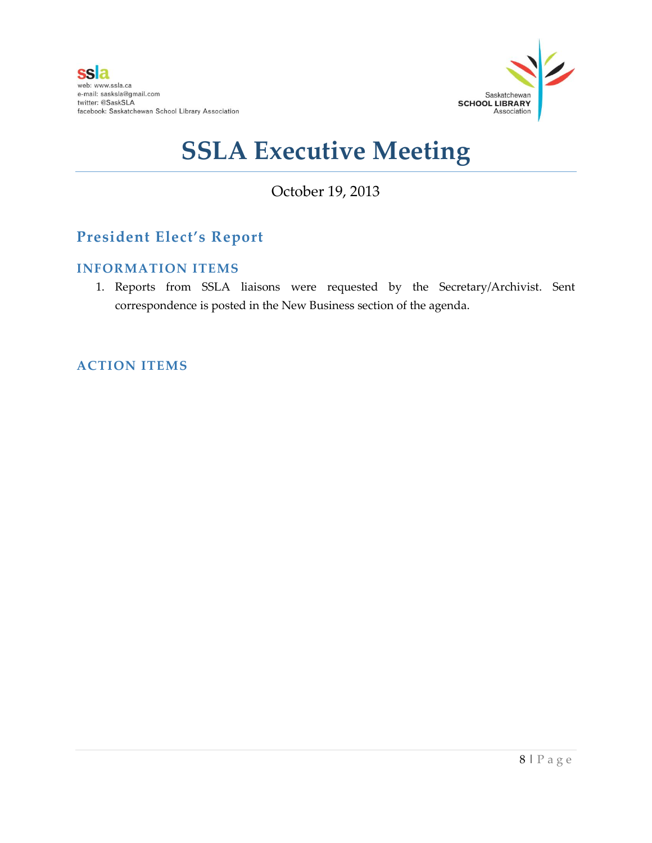

## October 19, 2013

## **President Elect's Report**

#### **INFORMATION ITEMS**

1. Reports from SSLA liaisons were requested by the Secretary/Archivist. Sent correspondence is posted in the New Business section of the agenda.

### **ACTION ITEMS**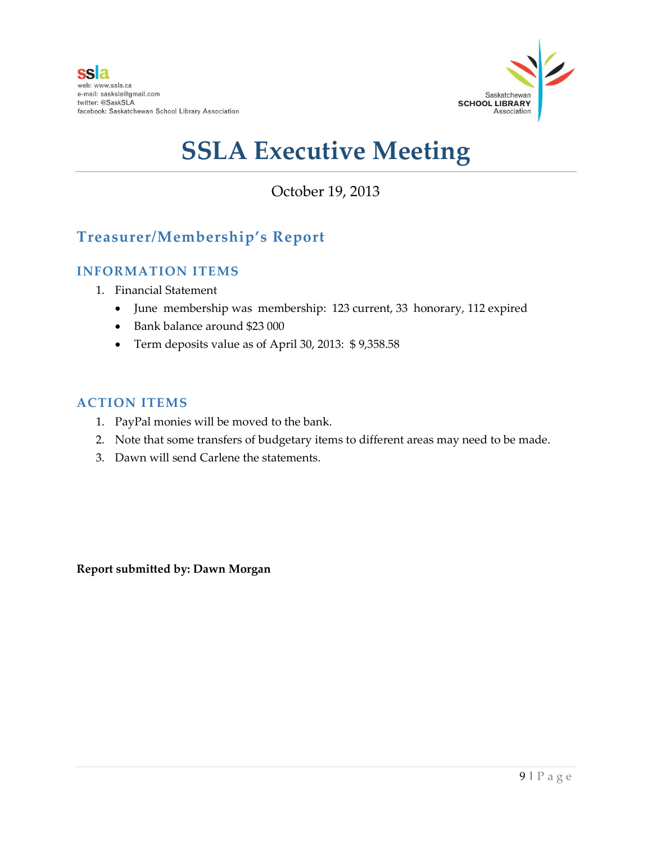

## October 19, 2013

## **Treasurer/Membership's Report**

### **INFORMATION ITEMS**

- 1. Financial Statement
	- June membership was membership: 123 current, 33 honorary, 112 expired
	- Bank balance around \$23 000
	- Term deposits value as of April 30, 2013: \$ 9,358.58

#### **ACTION ITEMS**

- 1. PayPal monies will be moved to the bank.
- 2. Note that some transfers of budgetary items to different areas may need to be made.
- 3. Dawn will send Carlene the statements.

**Report submitted by: Dawn Morgan**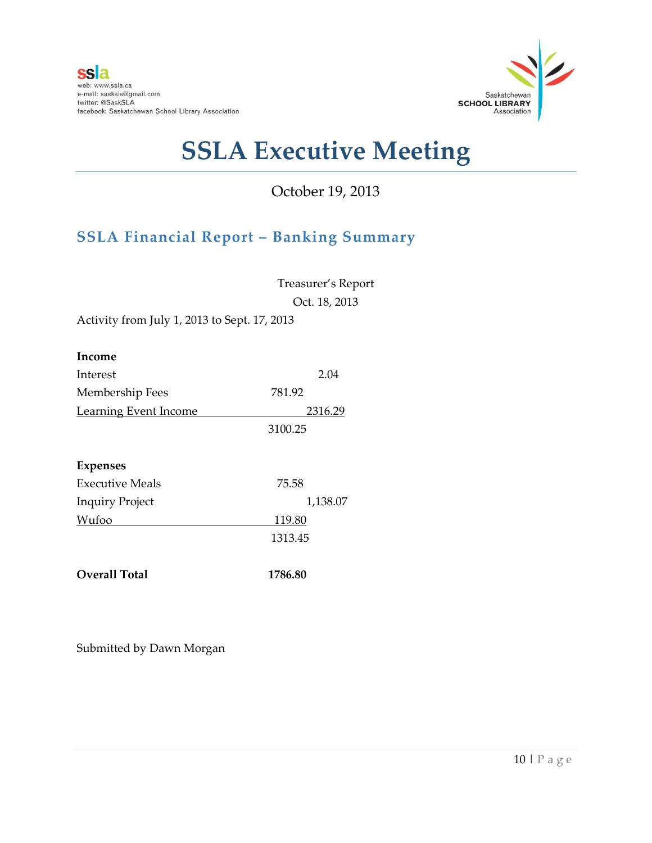

## October 19, 2013

## **SSLA Financial Report – Banking Summary**

Treasurer's Report Oct. 18, 2013

Activity from July 1, 2013 to Sept. 17, 2013

| Income                       |          |
|------------------------------|----------|
| Interest                     | 2.04     |
| Membership Fees              | 781.92   |
| <b>Learning Event Income</b> | 2316.29  |
|                              | 3100.25  |
| <b>Expenses</b>              |          |
| <b>Executive Meals</b>       | 75.58    |
| <b>Inquiry Project</b>       | 1,138.07 |
| Wufoo                        | 119.80   |
|                              | 1313.45  |
| <b>Overall Total</b>         | 1786.80  |

Submitted by Dawn Morgan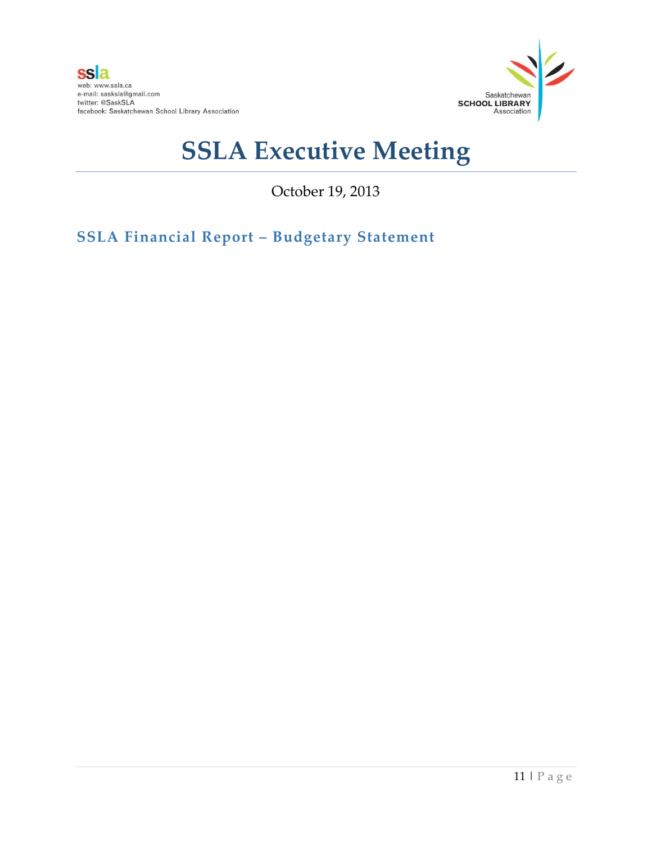

October 19, 2013

**SSLA Financial Report – Budgetary Statement**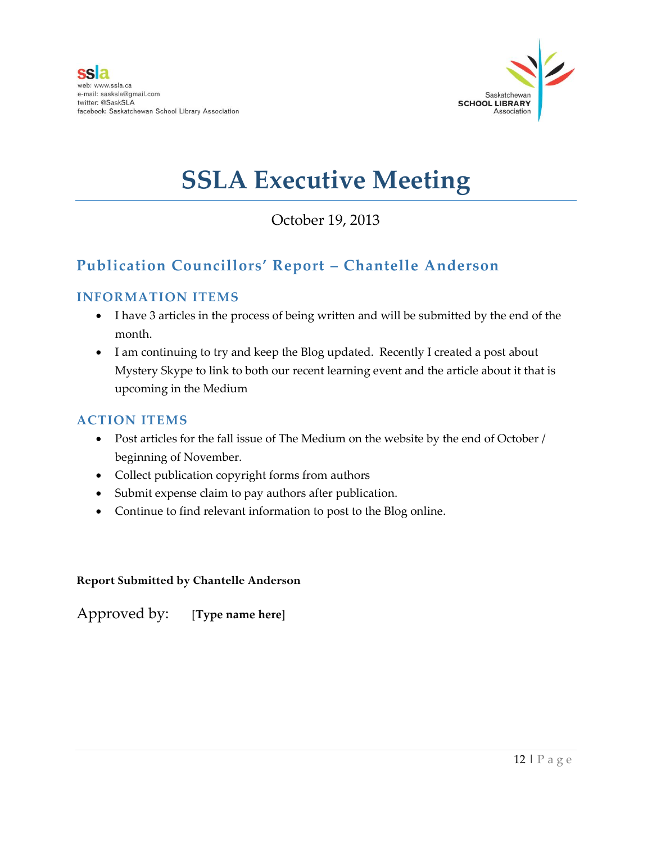

## October 19, 2013

## **Publication Councillors' Report – Chantelle Anderson**

### **INFORMATION ITEMS**

- I have 3 articles in the process of being written and will be submitted by the end of the month.
- I am continuing to try and keep the Blog updated. Recently I created a post about Mystery Skype to link to both our recent learning event and the article about it that is upcoming in the Medium

#### **ACTION ITEMS**

- Post articles for the fall issue of The Medium on the website by the end of October / beginning of November.
- Collect publication copyright forms from authors
- Submit expense claim to pay authors after publication.
- Continue to find relevant information to post to the Blog online.

#### **Report Submitted by Chantelle Anderson**

Approved by: [**Type name here**]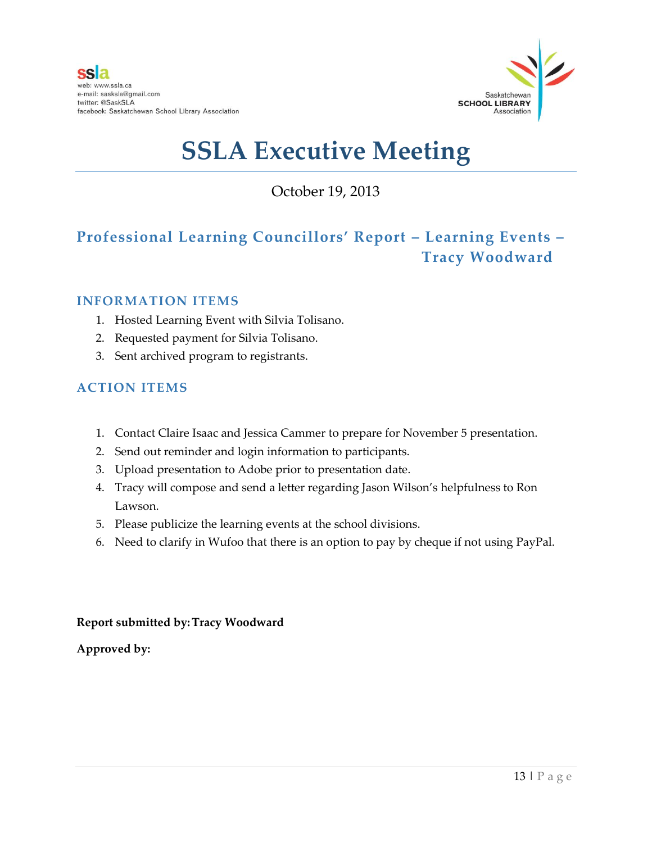

October 19, 2013

## **Professional Learning Councillors' Report – Learning Events – Tracy Woodward**

#### **INFORMATION ITEMS**

- 1. Hosted Learning Event with Silvia Tolisano.
- 2. Requested payment for Silvia Tolisano.
- 3. Sent archived program to registrants.

### **ACTION ITEMS**

- 1. Contact Claire Isaac and Jessica Cammer to prepare for November 5 presentation.
- 2. Send out reminder and login information to participants.
- 3. Upload presentation to Adobe prior to presentation date.
- 4. Tracy will compose and send a letter regarding Jason Wilson's helpfulness to Ron Lawson.
- 5. Please publicize the learning events at the school divisions.
- 6. Need to clarify in Wufoo that there is an option to pay by cheque if not using PayPal.

#### **Report submitted by:Tracy Woodward**

**Approved by:**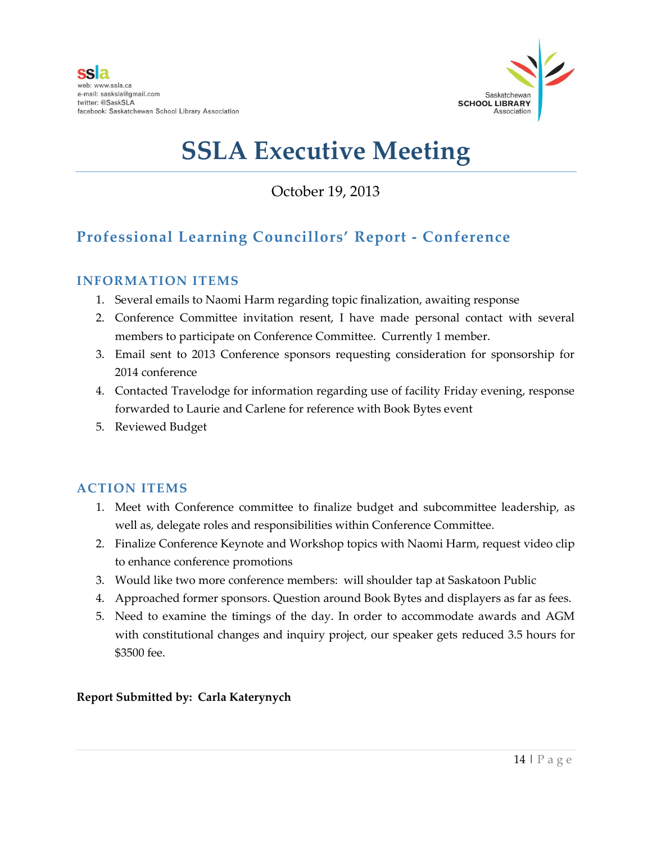

October 19, 2013

## **Professional Learning Councillors' Report - Conference**

### **INFORMATION ITEMS**

- 1. Several emails to Naomi Harm regarding topic finalization, awaiting response
- 2. Conference Committee invitation resent, I have made personal contact with several members to participate on Conference Committee. Currently 1 member.
- 3. Email sent to 2013 Conference sponsors requesting consideration for sponsorship for 2014 conference
- 4. Contacted Travelodge for information regarding use of facility Friday evening, response forwarded to Laurie and Carlene for reference with Book Bytes event
- 5. Reviewed Budget

### **ACTION ITEMS**

- 1. Meet with Conference committee to finalize budget and subcommittee leadership, as well as, delegate roles and responsibilities within Conference Committee.
- 2. Finalize Conference Keynote and Workshop topics with Naomi Harm, request video clip to enhance conference promotions
- 3. Would like two more conference members: will shoulder tap at Saskatoon Public
- 4. Approached former sponsors. Question around Book Bytes and displayers as far as fees.
- 5. Need to examine the timings of the day. In order to accommodate awards and AGM with constitutional changes and inquiry project, our speaker gets reduced 3.5 hours for \$3500 fee.

### **Report Submitted by: Carla Katerynych**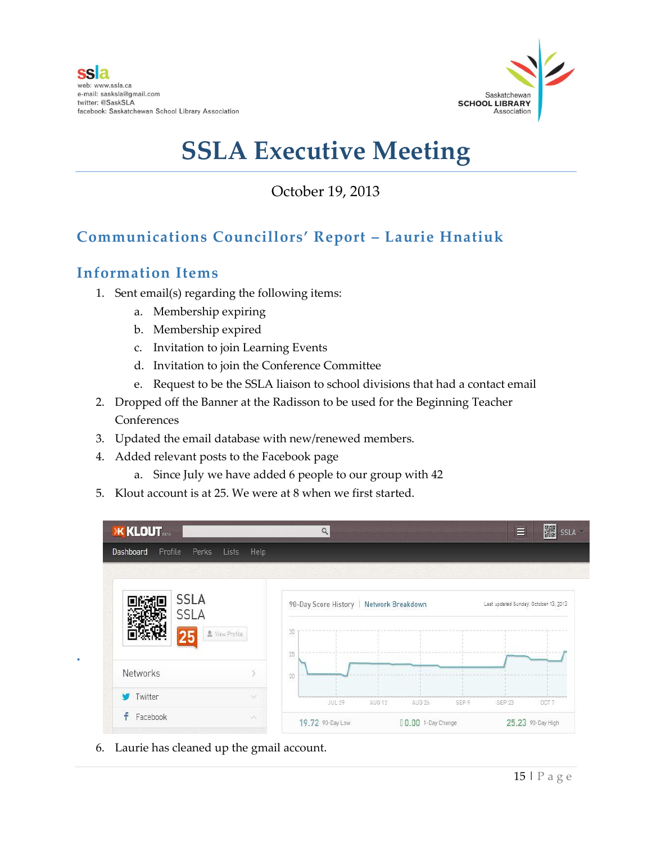

October 19, 2013

## **Communications Councillors' Report – Laurie Hnatiuk**

## **Information Items**

**.**

- 1. Sent email(s) regarding the following items:
	- a. Membership expiring
	- b. Membership expired
	- c. Invitation to join Learning Events
	- d. Invitation to join the Conference Committee
	- e. Request to be the SSLA liaison to school divisions that had a contact email
- 2. Dropped off the Banner at the Radisson to be used for the Beginning Teacher Conferences
- 3. Updated the email database with new/renewed members.
- 4. Added relevant posts to the Facebook page
	- a. Since July we have added 6 people to our group with 42
- 5. Klout account is at 25. We were at 8 when we first started.

| Perks<br>Profile<br><b>Dashboard</b> | Lists<br>Help  |          |                                          |  |                                       |       |
|--------------------------------------|----------------|----------|------------------------------------------|--|---------------------------------------|-------|
| <b>SSLA</b><br><b>SSLA</b><br>25     | & View Profile | 30       | 90-Day Score History   Network Breakdown |  | Last updated Sunday, October 13, 2013 | ----- |
| <b>Networks</b>                      |                | 25<br>20 |                                          |  |                                       |       |
|                                      |                |          |                                          |  |                                       |       |

6. Laurie has cleaned up the gmail account.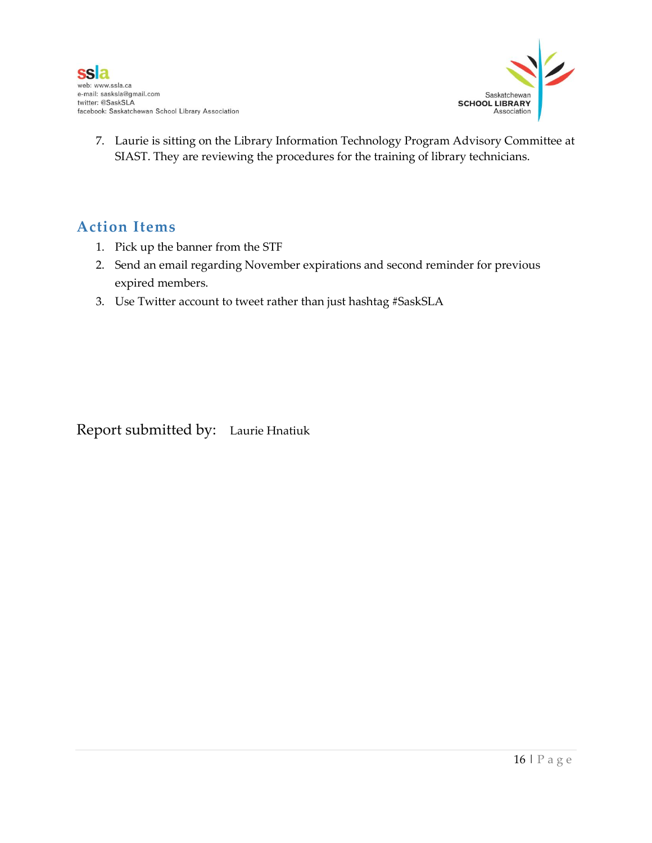

7. Laurie is sitting on the Library Information Technology Program Advisory Committee at SIAST. They are reviewing the procedures for the training of library technicians.

## **Action Items**

- 1. Pick up the banner from the STF
- 2. Send an email regarding November expirations and second reminder for previous expired members.
- 3. Use Twitter account to tweet rather than just hashtag #SaskSLA

Report submitted by: Laurie Hnatiuk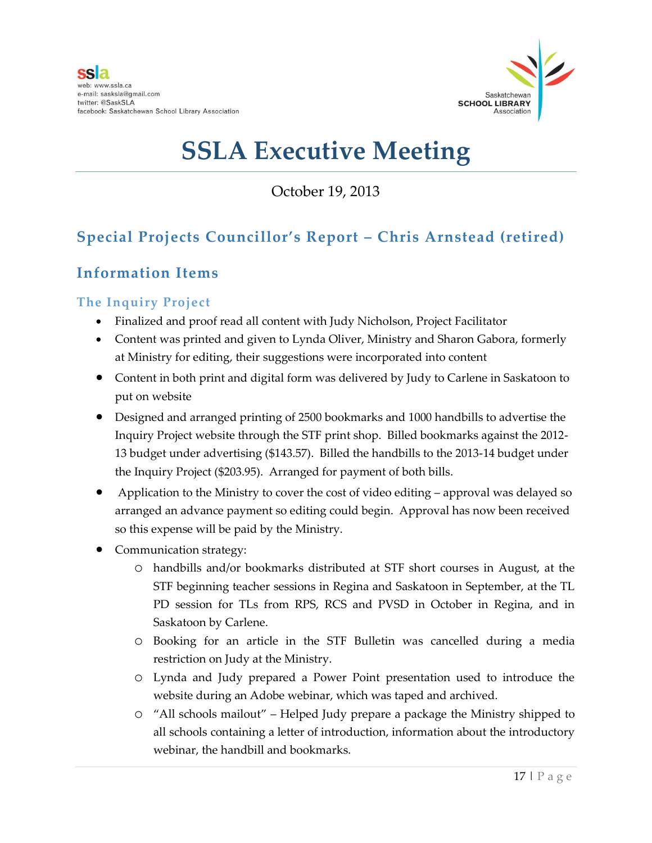

October 19, 2013

## **Special Projects Councillor's Report – Chris Arnstead (retired)**

## **Information Items**

### **The Inquiry Project**

- Finalized and proof read all content with Judy Nicholson, Project Facilitator
- Content was printed and given to Lynda Oliver, Ministry and Sharon Gabora, formerly at Ministry for editing, their suggestions were incorporated into content
- Content in both print and digital form was delivered by Judy to Carlene in Saskatoon to put on website
- Designed and arranged printing of 2500 bookmarks and 1000 handbills to advertise the Inquiry Project website through the STF print shop. Billed bookmarks against the 2012- 13 budget under advertising (\$143.57). Billed the handbills to the 2013-14 budget under the Inquiry Project (\$203.95). Arranged for payment of both bills.
- Application to the Ministry to cover the cost of video editing approval was delayed so arranged an advance payment so editing could begin. Approval has now been received so this expense will be paid by the Ministry.
- Communication strategy:
	- o handbills and/or bookmarks distributed at STF short courses in August, at the STF beginning teacher sessions in Regina and Saskatoon in September, at the TL PD session for TLs from RPS, RCS and PVSD in October in Regina, and in Saskatoon by Carlene.
	- o Booking for an article in the STF Bulletin was cancelled during a media restriction on Judy at the Ministry.
	- o Lynda and Judy prepared a Power Point presentation used to introduce the website during an Adobe webinar, which was taped and archived.
	- o "All schools mailout" Helped Judy prepare a package the Ministry shipped to all schools containing a letter of introduction, information about the introductory webinar, the handbill and bookmarks.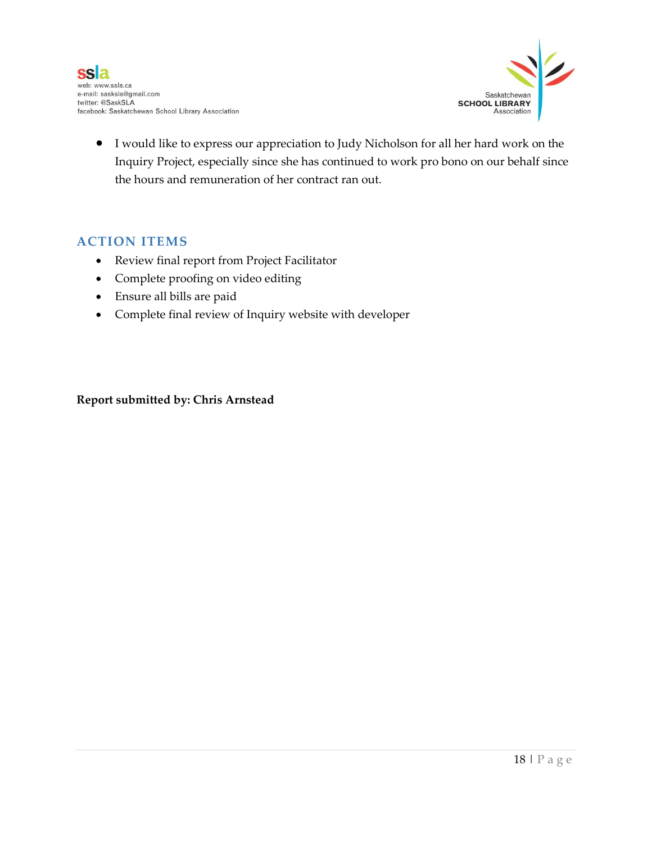

 I would like to express our appreciation to Judy Nicholson for all her hard work on the Inquiry Project, especially since she has continued to work pro bono on our behalf since the hours and remuneration of her contract ran out.

### **ACTION ITEMS**

- Review final report from Project Facilitator
- Complete proofing on video editing
- Ensure all bills are paid
- Complete final review of Inquiry website with developer

#### **Report submitted by: Chris Arnstead**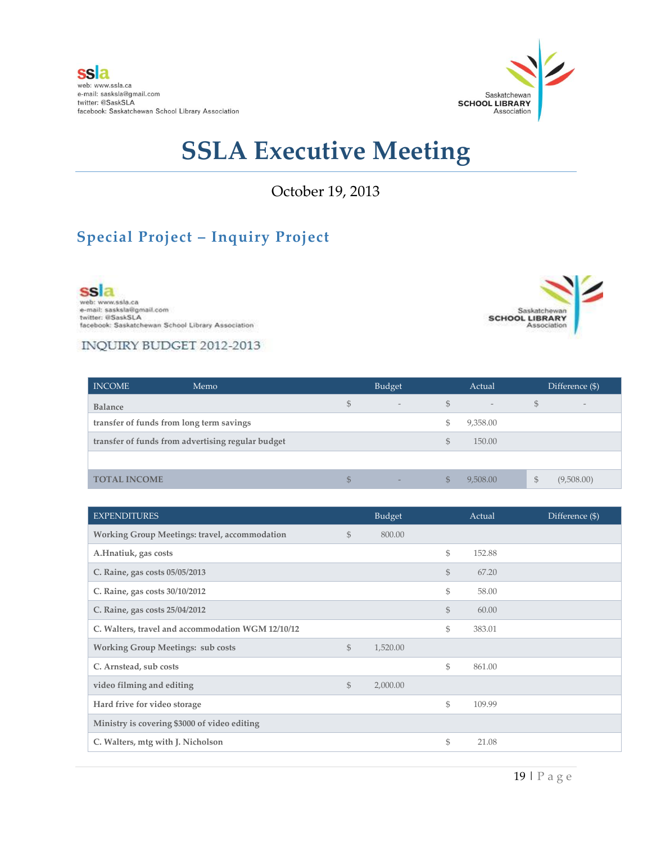

October 19, 2013

## **Special Project – Inquiry Project**

ssla web: www.ssla.ca<br>e-mail: sasksla@gmail.com twitter: @SaskSLA facebook: Saskatchewan School Library Association



### INQUIRY BUDGET 2012-2013

| <b>INCOME</b><br>Memo                             |              | Budget                   |     |                          |    | Difference (\$)          |  |
|---------------------------------------------------|--------------|--------------------------|-----|--------------------------|----|--------------------------|--|
| <b>Balance</b>                                    | $\mathbb{S}$ | $\overline{\phantom{a}}$ | \$  | $\overline{\phantom{a}}$ | S  | $\overline{\phantom{a}}$ |  |
| transfer of funds from long term savings          |              |                          | Ъ   | 9,358.00                 |    |                          |  |
| transfer of funds from advertising regular budget |              |                          | S   | 150.00                   |    |                          |  |
|                                                   |              |                          |     |                          |    |                          |  |
| <b>TOTAL INCOME</b>                               | \$           | $\overline{\phantom{a}}$ | \$. | 9,508.00                 | \$ | (9,508.00)               |  |

| <b>EXPENDITURES</b>                                  |              | Budget   |               | Actual | Difference (\$) |
|------------------------------------------------------|--------------|----------|---------------|--------|-----------------|
| <b>Working Group Meetings: travel, accommodation</b> | $\mathbb{S}$ | 800.00   |               |        |                 |
| A.Hnatiuk, gas costs                                 |              |          | $\mathbb{S}$  | 152.88 |                 |
| C. Raine, gas costs 05/05/2013                       |              |          | $\mathcal{S}$ | 67.20  |                 |
| C. Raine, gas costs 30/10/2012                       |              |          | \$            | 58.00  |                 |
| C. Raine, gas costs 25/04/2012                       |              |          | $\mathcal{S}$ | 60.00  |                 |
| C. Walters, travel and accommodation WGM 12/10/12    |              |          | \$            | 383.01 |                 |
| <b>Working Group Meetings: sub costs</b>             | $\mathbb{S}$ | 1,520.00 |               |        |                 |
| C. Arnstead, sub costs                               |              |          | $\mathbb{S}$  | 861.00 |                 |
| video filming and editing                            | $\mathbb{S}$ | 2,000.00 |               |        |                 |
| Hard frive for video storage                         |              |          | \$            | 109.99 |                 |
| Ministry is covering \$3000 of video editing         |              |          |               |        |                 |
| C. Walters, mtg with J. Nicholson                    |              |          | \$            | 21.08  |                 |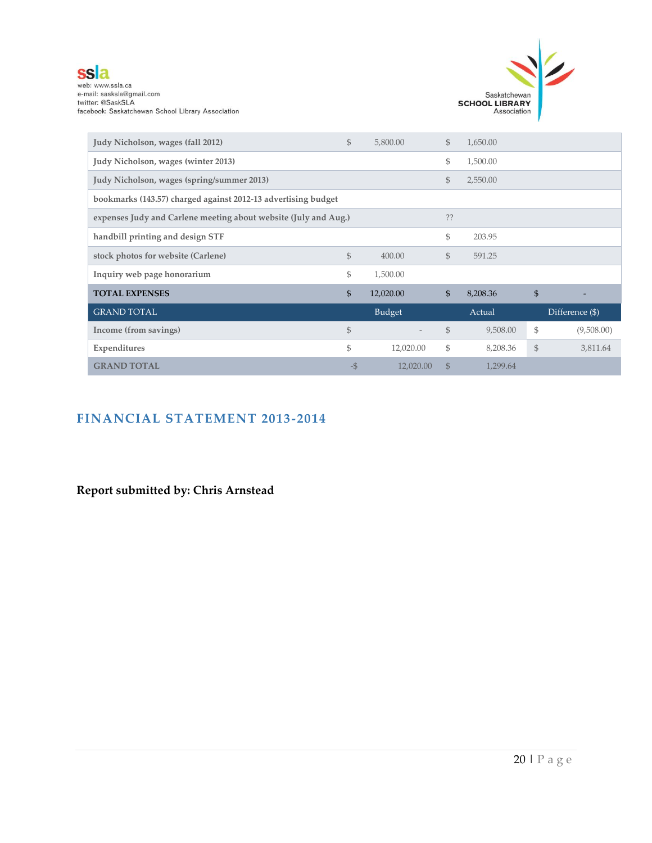

web: www.ssla.ca<br>e-mail: sasksla@gmail.com<br>twitter: @SaskSLA<br>facebook: Saskatchewan School Library Association



| Judy Nicholson, wages (fall 2012)                               | \$   | 5,800.00      | $\mathbb{S}$ | 1,650.00 |                |                 |  |  |
|-----------------------------------------------------------------|------|---------------|--------------|----------|----------------|-----------------|--|--|
| Judy Nicholson, wages (winter 2013)                             |      |               | \$           | 1,500.00 |                |                 |  |  |
| Judy Nicholson, wages (spring/summer 2013)                      |      |               | \$           | 2,550.00 |                |                 |  |  |
| bookmarks (143.57) charged against 2012-13 advertising budget   |      |               |              |          |                |                 |  |  |
| expenses Judy and Carlene meeting about website (July and Aug.) | ??   |               |              |          |                |                 |  |  |
| handbill printing and design STF                                |      |               | \$           | 203.95   |                |                 |  |  |
| stock photos for website (Carlene)                              | \$   | 400.00        | \$           | 591.25   |                |                 |  |  |
| Inquiry web page honorarium                                     | \$   | 1,500.00      |              |          |                |                 |  |  |
| <b>TOTAL EXPENSES</b>                                           | \$   | 12,020.00     | \$           | 8,208.36 | $\mathfrak{S}$ |                 |  |  |
| <b>GRAND TOTAL</b>                                              |      | <b>Budget</b> |              | Actual   |                | Difference (\$) |  |  |
| Income (from savings)                                           | \$   |               | $\mathbb{S}$ | 9,508.00 | \$             | (9,508.00)      |  |  |
| Expenditures                                                    | \$   | 12,020.00     | \$           | 8,208.36 | $\mathbb{S}$   | 3,811.64        |  |  |
| <b>GRAND TOTAL</b>                                              | $-5$ | 12,020.00     | $\mathbb{S}$ | 1,299.64 |                |                 |  |  |

## **FINANCIAL STATEMENT 2013-2014**

**Report submitted by: Chris Arnstead**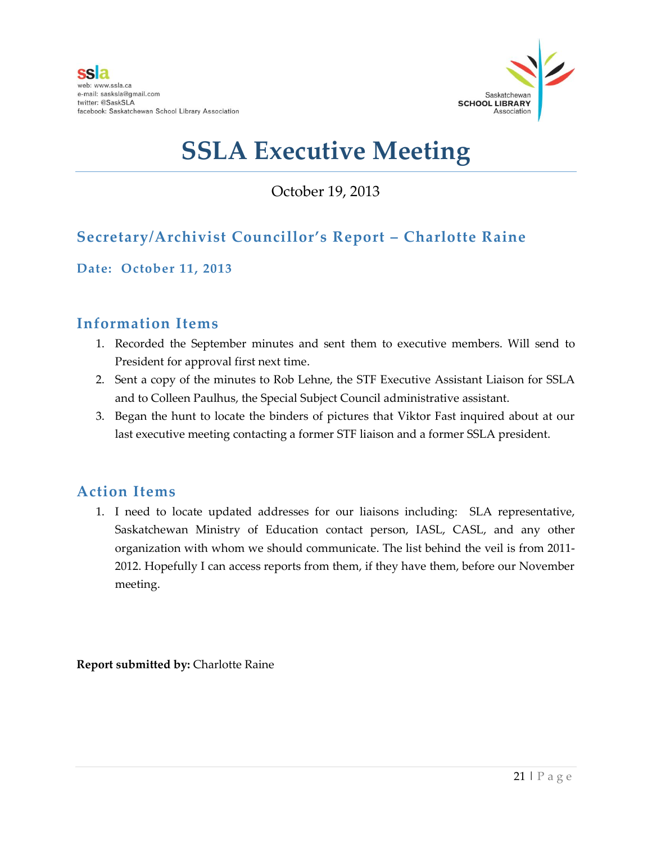

## October 19, 2013

## **Secretary/Archivist Councillor's Report – Charlotte Raine**

**Date: October 11, 2013**

## **Information Items**

- 1. Recorded the September minutes and sent them to executive members. Will send to President for approval first next time.
- 2. Sent a copy of the minutes to Rob Lehne, the STF Executive Assistant Liaison for SSLA and to Colleen Paulhus, the Special Subject Council administrative assistant.
- 3. Began the hunt to locate the binders of pictures that Viktor Fast inquired about at our last executive meeting contacting a former STF liaison and a former SSLA president.

### **Action Items**

1. I need to locate updated addresses for our liaisons including: SLA representative, Saskatchewan Ministry of Education contact person, IASL, CASL, and any other organization with whom we should communicate. The list behind the veil is from 2011- 2012. Hopefully I can access reports from them, if they have them, before our November meeting.

**Report submitted by:** Charlotte Raine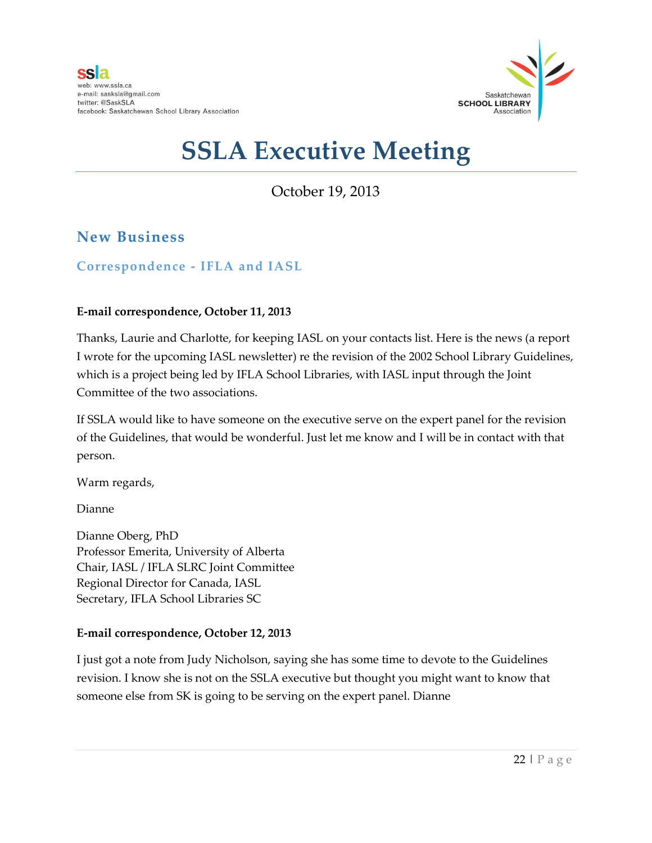

October 19, 2013

## **New Business**

### **Correspondence - IFLA and IASL**

#### **E-mail correspondence, October 11, 2013**

Thanks, Laurie and Charlotte, for keeping IASL on your contacts list. Here is the news (a report I wrote for the upcoming IASL newsletter) re the revision of the 2002 School Library Guidelines, which is a project being led by IFLA School Libraries, with IASL input through the Joint Committee of the two associations.

If SSLA would like to have someone on the executive serve on the expert panel for the revision of the Guidelines, that would be wonderful. Just let me know and I will be in contact with that person.

Warm regards,

Dianne

Dianne Oberg, PhD Professor Emerita, University of Alberta Chair, IASL / IFLA SLRC Joint Committee Regional Director for Canada, IASL Secretary, IFLA School Libraries SC

#### **E-mail correspondence, October 12, 2013**

I just got a note from Judy Nicholson, saying she has some time to devote to the Guidelines revision. I know she is not on the SSLA executive but thought you might want to know that someone else from SK is going to be serving on the expert panel. Dianne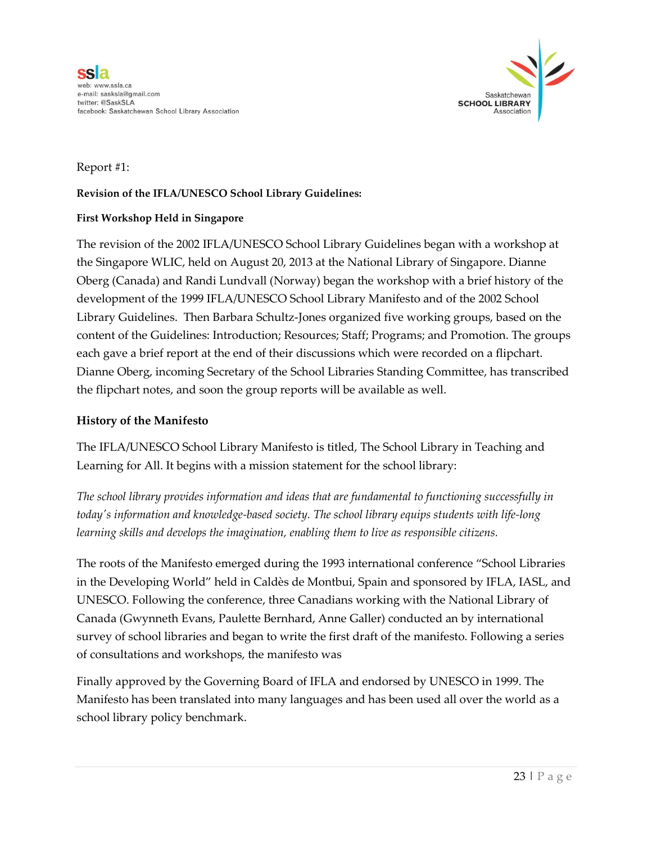

#### Report #1:

#### **Revision of the IFLA/UNESCO School Library Guidelines:**

#### **First Workshop Held in Singapore**

The revision of the 2002 IFLA/UNESCO School Library Guidelines began with a workshop at the Singapore WLIC, held on August 20, 2013 at the National Library of Singapore. Dianne Oberg (Canada) and Randi Lundvall (Norway) began the workshop with a brief history of the development of the 1999 IFLA/UNESCO School Library Manifesto and of the 2002 School Library Guidelines. Then Barbara Schultz-Jones organized five working groups, based on the content of the Guidelines: Introduction; Resources; Staff; Programs; and Promotion. The groups each gave a brief report at the end of their discussions which were recorded on a flipchart. Dianne Oberg, incoming Secretary of the School Libraries Standing Committee, has transcribed the flipchart notes, and soon the group reports will be available as well.

#### **History of the Manifesto**

The IFLA/UNESCO School Library Manifesto is titled, The School Library in Teaching and Learning for All. It begins with a mission statement for the school library:

*The school library provides information and ideas that are fundamental to functioning successfully in today's information and knowledge-based society. The school library equips students with life-long learning skills and develops the imagination, enabling them to live as responsible citizens.*

The roots of the Manifesto emerged during the 1993 international conference "School Libraries in the Developing World" held in Caldès de Montbui, Spain and sponsored by IFLA, IASL, and UNESCO. Following the conference, three Canadians working with the National Library of Canada (Gwynneth Evans, Paulette Bernhard, Anne Galler) conducted an by international survey of school libraries and began to write the first draft of the manifesto. Following a series of consultations and workshops, the manifesto was

Finally approved by the Governing Board of IFLA and endorsed by UNESCO in 1999. The Manifesto has been translated into many languages and has been used all over the world as a school library policy benchmark.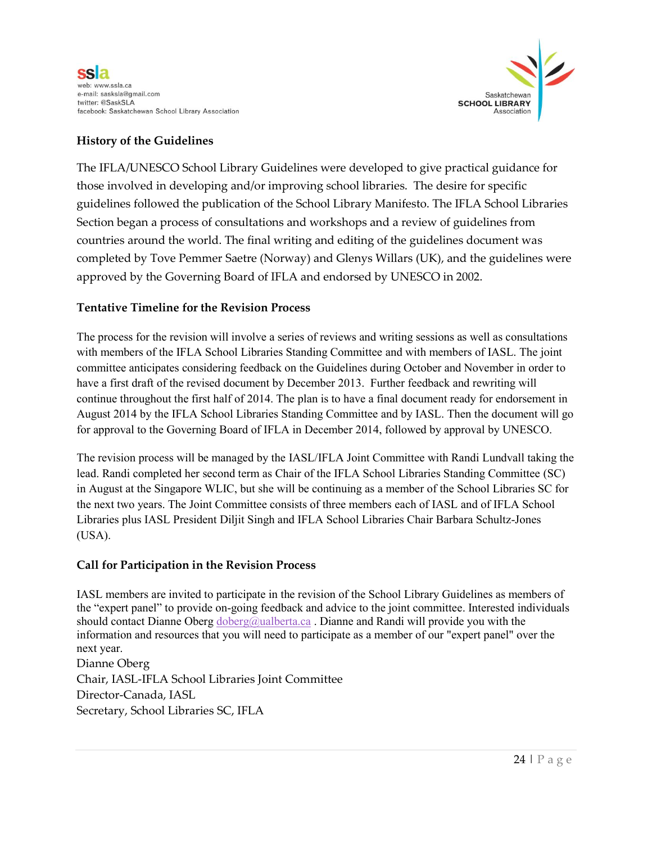



#### **History of the Guidelines**

The IFLA/UNESCO School Library Guidelines were developed to give practical guidance for those involved in developing and/or improving school libraries. The desire for specific guidelines followed the publication of the School Library Manifesto. The IFLA School Libraries Section began a process of consultations and workshops and a review of guidelines from countries around the world. The final writing and editing of the guidelines document was completed by Tove Pemmer Saetre (Norway) and Glenys Willars (UK), and the guidelines were approved by the Governing Board of IFLA and endorsed by UNESCO in 2002.

#### **Tentative Timeline for the Revision Process**

The process for the revision will involve a series of reviews and writing sessions as well as consultations with members of the IFLA School Libraries Standing Committee and with members of IASL. The joint committee anticipates considering feedback on the Guidelines during October and November in order to have a first draft of the revised document by December 2013. Further feedback and rewriting will continue throughout the first half of 2014. The plan is to have a final document ready for endorsement in August 2014 by the IFLA School Libraries Standing Committee and by IASL. Then the document will go for approval to the Governing Board of IFLA in December 2014, followed by approval by UNESCO.

The revision process will be managed by the IASL/IFLA Joint Committee with Randi Lundvall taking the lead. Randi completed her second term as Chair of the IFLA School Libraries Standing Committee (SC) in August at the Singapore WLIC, but she will be continuing as a member of the School Libraries SC for the next two years. The Joint Committee consists of three members each of IASL and of IFLA School Libraries plus IASL President Diljit Singh and IFLA School Libraries Chair Barbara Schultz-Jones (USA).

#### **Call for Participation in the Revision Process**

IASL members are invited to participate in the revision of the School Library Guidelines as members of the "expert panel" to provide on-going feedback and advice to the joint committee. Interested individuals should contact Dianne Oberg  $\omega$ ualberta.ca. Dianne and Randi will provide you with the information and resources that you will need to participate as a member of our "expert panel" over the next year. Dianne Oberg

Chair, IASL-IFLA School Libraries Joint Committee Director-Canada, IASL Secretary, School Libraries SC, IFLA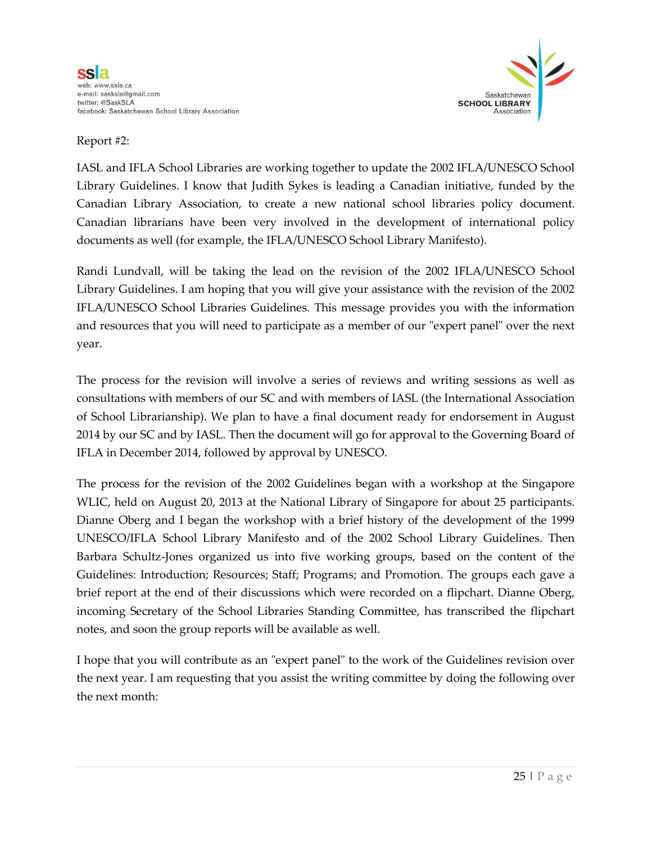

#### Report #2:

IASL and IFLA School Libraries are working together to update the 2002 IFLA/UNESCO School Library Guidelines. I know that Judith Sykes is leading a Canadian initiative, funded by the Canadian Library Association, to create a new national school libraries policy document. Canadian librarians have been very involved in the development of international policy documents as well (for example, the IFLA/UNESCO School Library Manifesto).

Randi Lundvall, will be taking the lead on the revision of the 2002 IFLA/UNESCO School Library Guidelines. I am hoping that you will give your assistance with the revision of the 2002 IFLA/UNESCO School Libraries Guidelines. This message provides you with the information and resources that you will need to participate as a member of our "expert panel" over the next year.

The process for the revision will involve a series of reviews and writing sessions as well as consultations with members of our SC and with members of IASL (the International Association of School Librarianship). We plan to have a final document ready for endorsement in August 2014 by our SC and by IASL. Then the document will go for approval to the Governing Board of IFLA in December 2014, followed by approval by UNESCO.

The process for the revision of the 2002 Guidelines began with a workshop at the Singapore WLIC, held on August 20, 2013 at the National Library of Singapore for about 25 participants. Dianne Oberg and I began the workshop with a brief history of the development of the 1999 UNESCO/IFLA School Library Manifesto and of the 2002 School Library Guidelines. Then Barbara Schultz-Jones organized us into five working groups, based on the content of the Guidelines: Introduction; Resources; Staff; Programs; and Promotion. The groups each gave a brief report at the end of their discussions which were recorded on a flipchart. Dianne Oberg, incoming Secretary of the School Libraries Standing Committee, has transcribed the flipchart notes, and soon the group reports will be available as well.

I hope that you will contribute as an "expert panel" to the work of the Guidelines revision over the next year. I am requesting that you assist the writing committee by doing the following over the next month: